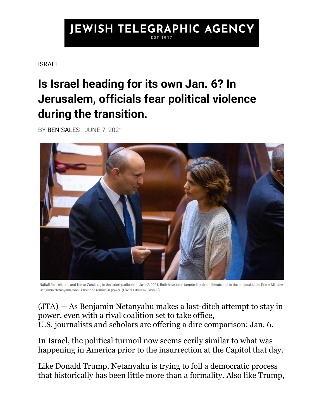## **JEWISH TELEGRAPHIC AGENCY**

## [ISRAEL](https://www.jta.org/category/israel)

## **Is Israel heading for its own Jan. 6? In Jerusalem, officials fear political violence during the transition.**

BY [BEN SALES](https://www.jta.org/author/ben-sales) JUNE 7, 2021



Naftali Bennett, left, and Tamar Zandberg in the Israeli parliament, June 2, 2021. Both have been targeted by death threats due to their opposition to Prime Minister Benjamin Netanyahu, who is trying to remain in power. (Olivier Fitoussi/Flash90)

[\(JTA\)](http://www.jta.org/) — As Benjamin Netanyahu makes a last-ditch attempt to stay in power, even with a rival coalition set to take office, U.S. [journalists](https://www.washingtonpost.com/world/middle_east/netanyahu-trump-capitol-mob-siege/2021/06/06/40a1d10e-c68a-11eb-89a4-b7ae22aa193e_story.html) and [scholars](https://twitter.com/aarondmiller2/status/1401561627653251083) are offering a dire comparison: Jan. 6.

In Israel, the political turmoil now seems eerily similar to what was happening in America prior to the insurrection at the Capitol that day.

Like Donald Trump, Netanyahu is trying to foil a democratic process that historically has been little more than a formality. Also like Trump,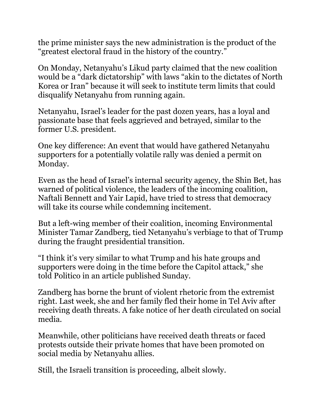the prime minister [says](https://www.jta.org/2021/06/06/israel/netanyahu-condemns-incitement-from-all-sides-but-also-decries-election-fraud-as-israeli-officials-fear-violence) the new administration is the product of the "greatest electoral fraud in the history of the country."

On Monday, Netanyahu's Likud party [claimed](https://twitter.com/Likud_Party/status/1401989416537763850) that the new coalition would be a "dark dictatorship" with laws "akin to the dictates of North Korea or Iran" because it will [seek to institute term limits](https://www.timesofisrael.com/change-government-agenda-electoral-reform-budget-and-jerusalem-building-boom/) that could disqualify Netanyahu from running again.

Netanyahu, Israel's leader for the past dozen years, has a loyal and passionate base that feels aggrieved and betrayed, similar to the former U.S. president.

One key difference: An event that would have gathered Netanyahu supporters for a potentially volatile rally was denied a permit on Monday.

Even as the head of Israel's internal security agency, the Shin Bet, has warned of political violence, the leaders of the incoming coalition, Naftali Bennett and Yair Lapid, have tried to stress that democracy will take its course while condemning incitement.

But a left-wing member of their coalition, incoming Environmental Minister Tamar Zandberg, tied Netanyahu's verbiage to that of Trump during the fraught presidential transition.

"I think it's very similar to what Trump and his hate groups and supporters were doing in the time before the Capitol attack," she told [Politico](https://www.politico.com/news/magazine/2021/06/06/post-netanyahu-israel-politics-491920) in an article published Sunday.

Zandberg has borne the brunt of violent rhetoric from the extremist right. Last week, she and her family fled their home in Tel Aviv after receiving [death threats.](https://www.jta.org/2021/06/03/israel/netanyahus-rivals-are-getting-death-threats-as-they-prepare-to-replace-him) A fake notice of her death circulated on social media.

Meanwhile, other politicians have received death threats or faced protests outside their private homes that have been promoted on social media by Netanyahu allies.

Still, the Israeli transition is proceeding, albeit slowly.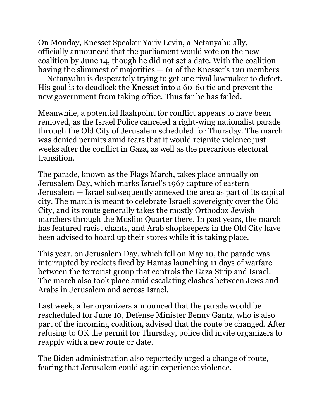On Monday, Knesset Speaker Yariv Levin, a Netanyahu ally, officially [announced](https://www.jpost.com/breaking-news/levin-defying-expectations-to-announce-govt-swearing-in-later-today-670336) that the parliament would vote on the new coalition by June 14, though he did not set a date. With the coalition having the slimmest of majorities  $-61$  of the Knesset's 120 members — Netanyahu is desperately trying to get one rival lawmaker to defect. His goal is to deadlock the Knesset into a 60-60 tie and prevent the new government from taking office. Thus far he has failed.

Meanwhile, a potential flashpoint for conflict appears to have been removed, as the Israel Police [canceled](https://www.timesofisrael.com/police-nix-contentious-jerusalem-flag-march-angering-nationalists/) a right-wing nationalist parade through the Old City of Jerusalem scheduled for Thursday. The march was denied permits amid fears that it would reignite violence just weeks after the conflict in Gaza, as well as the precarious electoral transition.

The parade, known as the Flags March, takes place annually on Jerusalem Day, which marks Israel's 1967 capture of eastern Jerusalem — Israel subsequently annexed the area as part of its capital city. The march is meant to celebrate Israeli sovereignty over the Old City, and its route generally takes the mostly Orthodox Jewish marchers through the Muslim Quarter there. In past years, the march has featured [racist chants,](https://www.timesofisrael.com/high-court-okays-jerusalem-day-march-through-muslim-quarter/) and Arab shopkeepers in the Old City [have](https://www.washingtonpost.com/world/middle_east/israeli-jews-march-in-jerusalems-muslim-quarter-on-eve-of-ramadan/2016/06/05/2989b100-2b2e-11e6-b9d5-3c3063f8332c_story.html)  [been advised](https://www.washingtonpost.com/world/middle_east/israeli-jews-march-in-jerusalems-muslim-quarter-on-eve-of-ramadan/2016/06/05/2989b100-2b2e-11e6-b9d5-3c3063f8332c_story.html) to board up their stores while it is taking place.

This year, on Jerusalem Day, which fell on May 10, the parade was interrupted by [rockets fired by Hamas](https://www.jta.org/2021/05/10/israel/the-fighting-in-gaza-jerusalem-and-across-israel-explained) launching 11 days of warfare between the terrorist group that controls the Gaza Strip and Israel. The march also took place amid escalating clashes between Jews and Arabs in Jerusalem and across Israel.

Last week, after organizers announced that the parade would be rescheduled for June 10, Defense Minister Benny Gantz, who is also part of the incoming coalition, [advised](https://www.haaretz.com/israel-news/.premium-defense-minister-orders-change-to-jerusalem-flag-march-route-fearing-tensions-1.9877429) that the route be changed. After refusing to OK the permit for Thursday, police did invite organizers to reapply with a new route or date.

The Biden administration also reportedly urged a change of route, fearing that Jerusalem could again experience violence.